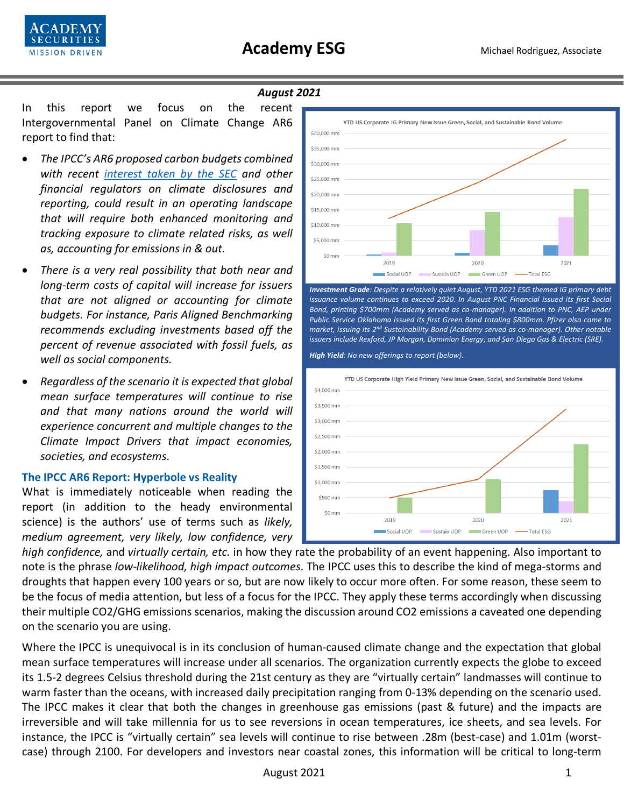

#### *August 2021*

In this report we focus on the recent Intergovernmental Panel on Climate Change AR6 report to find that:

- *The IPCC's AR6 proposed carbon budgets combined with recent [interest taken by the SEC](https://www.sec.gov/news/public-statement/lee-climate-change-disclosures) and other financial regulators on climate disclosures and reporting, could result in an operating landscape that will require both enhanced monitoring and tracking exposure to climate related risks, as well as, accounting for emissions in & out.*
- *There is a very real possibility that both near and long-term costs of capital will increase for issuers that are not aligned or accounting for climate budgets. For instance, Paris Aligned Benchmarking recommends excluding investments based off the percent of revenue associated with fossil fuels, as well as social components.*
- *Regardless of the scenario it is expected that global mean surface temperatures will continue to rise and that many nations around the world will experience concurrent and multiple changes to the Climate Impact Drivers that impact economies, societies, and ecosystems.*

### **The IPCC AR6 Report: Hyperbole vs Reality**

What is immediately noticeable when reading the report (in addition to the heady environmental science) is the authors' use of terms such as *likely, medium agreement, very likely, low confidence, very* 



*Investment Grade: Despite a relatively quiet August, YTD 2021 ESG themed IG primary debt issuance volume continues to exceed 2020. In August PNC Financial issued its first Social Bond, printing \$700mm (Academy served as co-manager). In addition to PNC, AEP under Public Service Oklahoma issued its first Green Bond totaling \$800mm. Pfizer also came to market, issuing its 2nd Sustainability Bond (Academy served as co-manager). Other notable issuers include Rexford, JP Morgan, Dominion Energy, and San Diego Gas & Electric (SRE).* 

*High Yield: No new offerings to report (below).*



*high confidence,* and *virtually certain, etc.* in how they rate the probability of an event happening. Also important to note is the phrase *low-likelihood, high impact outcomes*. The IPCC uses this to describe the kind of mega-storms and droughts that happen every 100 years or so, but are now likely to occur more often. For some reason, these seem to be the focus of media attention, but less of a focus for the IPCC. They apply these terms accordingly when discussing their multiple CO2/GHG emissions scenarios, making the discussion around CO2 emissions a caveated one depending on the scenario you are using.

Where the IPCC is unequivocal is in its conclusion of human-caused climate change and the expectation that global mean surface temperatures will increase under all scenarios. The organization currently expects the globe to exceed its 1.5-2 degrees Celsius threshold during the 21st century as they are "virtually certain" landmasses will continue to warm faster than the oceans, with increased daily precipitation ranging from 0-13% depending on the scenario used. The IPCC makes it clear that both the changes in greenhouse gas emissions (past & future) and the impacts are irreversible and will take millennia for us to see reversions in ocean temperatures, ice sheets, and sea levels. For instance, the IPCC is "virtually certain" sea levels will continue to rise between .28m (best-case) and 1.01m (worstcase) through 2100. For developers and investors near coastal zones, this information will be critical to long-term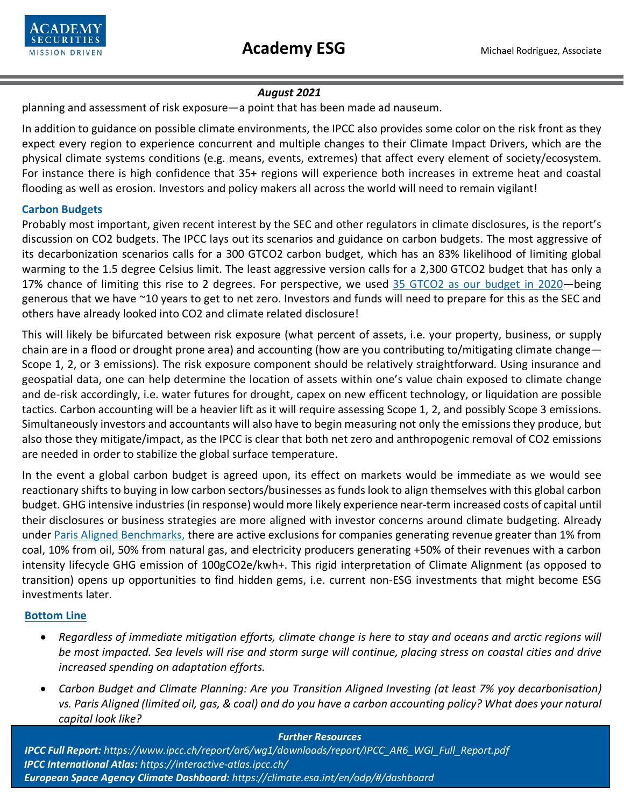

# *August 2021*

planning and assessment of risk exposure—a point that has been made ad nauseum.

In addition to guidance on possible climate environments, the IPCC also provides some color on the risk front as they expect every region to experience concurrent and multiple changes to their Climate Impact Drivers, which are the physical climate systems conditions (e.g. means, events, extremes) that affect every element of society/ecosystem. For instance there is high confidence that 35+ regions will experience both increases in extreme heat and coastal flooding as well as erosion. Investors and policy makers all across the world will need to remain vigilant!

# **Carbon Budgets**

Probably most important, given recent interest by the SEC and other regulators in climate disclosures, is the report's discussion on CO2 budgets. The IPCC lays out its scenarios and guidance on carbon budgets. The most aggressive of its decarbonization scenarios calls for a 300 GTCO2 carbon budget, which has an 83% likelihood of limiting global warming to the 1.5 degree Celsius limit. The least aggressive version calls for a 2,300 GTCO2 budget that has only a 17% chance of limiting this rise to 2 degrees. For perspective, we used 35 GTCO2 as [our budget in 2020—](https://www.c2es.org/content/international-emissions/)being generous that we have ~10 years to get to net zero. Investors and funds will need to prepare for this as the SEC and others have already looked into CO2 and climate related disclosure!

This will likely be bifurcated between risk exposure (what percent of assets, i.e. your property, business, or supply chain are in a flood or drought prone area) and accounting (how are you contributing to/mitigating climate change— Scope 1, 2, or 3 emissions). The risk exposure component should be relatively straightforward. Using insurance and geospatial data, one can help determine the location of assets within one's value chain exposed to climate change and de-risk accordingly, i.e. water futures for drought, capex on new efficent technology, or liquidation are possible tactics. Carbon accounting will be a heavier lift as it will require assessing Scope 1, 2, and possibly Scope 3 emissions. Simultaneously investors and accountants will also have to begin measuring not only the emissions they produce, but also those they mitigate/impact, as the IPCC is clear that both net zero and anthropogenic removal of CO2 emissions are needed in order to stabilize the global surface temperature.

In the event a global carbon budget is agreed upon, its effect on markets would be immediate as we would see reactionary shifts to buying in low carbon sectors/businesses as funds look to align themselves with this global carbon budget. GHG intensive industries (in response) would more likely experience near-term increased costs of capital until their disclosures or business strategies are more aligned with investor concerns around climate budgeting. Already under [Paris Aligned Benchmarks,](https://ec.europa.eu/info/sites/default/files/business_economy_euro/banking_and_finance/documents/190930-sustainable-finance-teg-final-report-climate-benchmarks-and-disclosures_en.pdf) there are active exclusions for companies generating revenue greater than 1% from coal, 10% from oil, 50% from natural gas, and electricity producers generating +50% of their revenues with a carbon intensity lifecycle GHG emission of 100gCO2e/kwh+. This rigid interpretation of Climate Alignment (as opposed to transition) opens up opportunities to find hidden gems, i.e. current non-ESG investments that might become ESG investments later.

### **Bottom Line**

- *Regardless of immediate mitigation efforts, climate change is here to stay and oceans and arctic regions will be most impacted. Sea levels will rise and storm surge will continue, placing stress on coastal cities and drive increased spending on adaptation efforts.*
- *Carbon Budget and Climate Planning: Are you Transition Aligned Investing (at least 7% yoy decarbonisation) vs. Paris Aligned (limited oil, gas, & coal) and do you have a carbon accounting policy? What does your natural capital look like?*

 August 2021 2 *European Space Agency Climate Dashboard: https://climate.esa.int/en/odp/#/dashboardFurther Resources IPCC Full Report: https://www.ipcc.ch/report/ar6/wg1/downloads/report/IPCC\_AR6\_WGI\_Full\_Report.pdf IPCC International Atlas: https://interactive-atlas.ipcc.ch/*